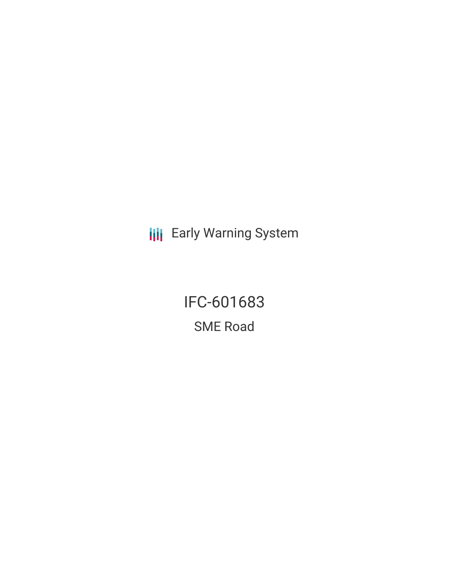**III** Early Warning System

IFC-601683 SME Road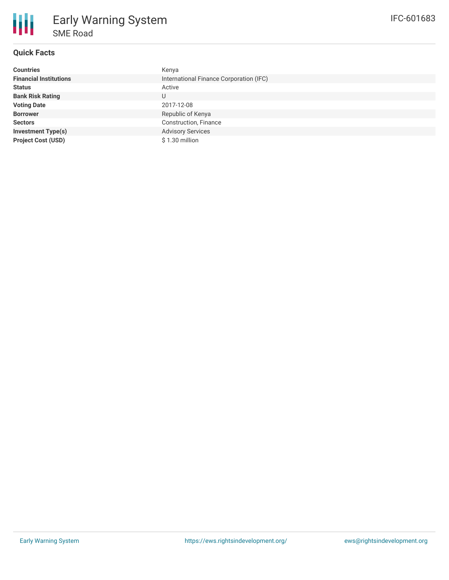

# **Quick Facts**

| <b>Countries</b>              | Kenya                                   |
|-------------------------------|-----------------------------------------|
| <b>Financial Institutions</b> | International Finance Corporation (IFC) |
| <b>Status</b>                 | Active                                  |
| <b>Bank Risk Rating</b>       | U                                       |
| <b>Voting Date</b>            | 2017-12-08                              |
| <b>Borrower</b>               | Republic of Kenya                       |
| <b>Sectors</b>                | Construction, Finance                   |
| <b>Investment Type(s)</b>     | <b>Advisory Services</b>                |
| <b>Project Cost (USD)</b>     | \$1.30 million                          |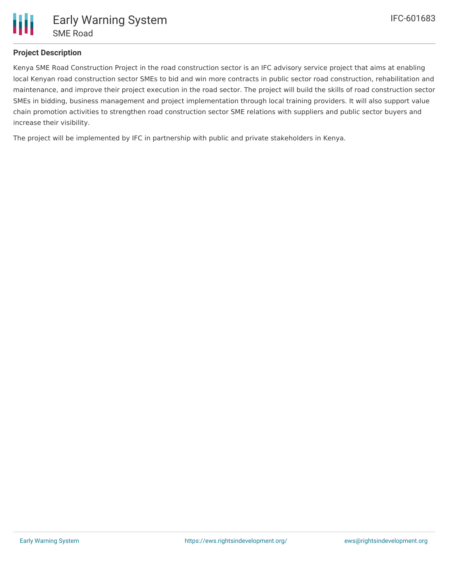

## **Project Description**

Kenya SME Road Construction Project in the road construction sector is an IFC advisory service project that aims at enabling local Kenyan road construction sector SMEs to bid and win more contracts in public sector road construction, rehabilitation and maintenance, and improve their project execution in the road sector. The project will build the skills of road construction sector SMEs in bidding, business management and project implementation through local training providers. It will also support value chain promotion activities to strengthen road construction sector SME relations with suppliers and public sector buyers and increase their visibility.

The project will be implemented by IFC in partnership with public and private stakeholders in Kenya.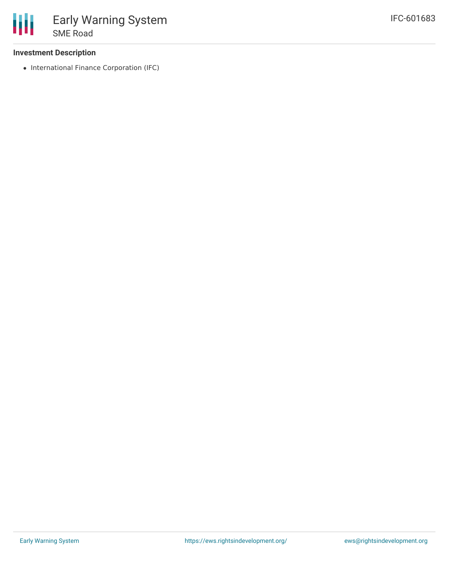### **Investment Description**

• International Finance Corporation (IFC)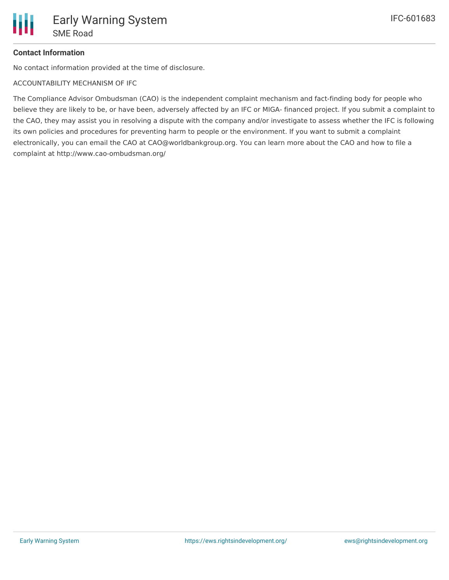## **Contact Information**

No contact information provided at the time of disclosure.

ACCOUNTABILITY MECHANISM OF IFC

The Compliance Advisor Ombudsman (CAO) is the independent complaint mechanism and fact-finding body for people who believe they are likely to be, or have been, adversely affected by an IFC or MIGA- financed project. If you submit a complaint to the CAO, they may assist you in resolving a dispute with the company and/or investigate to assess whether the IFC is following its own policies and procedures for preventing harm to people or the environment. If you want to submit a complaint electronically, you can email the CAO at CAO@worldbankgroup.org. You can learn more about the CAO and how to file a complaint at http://www.cao-ombudsman.org/